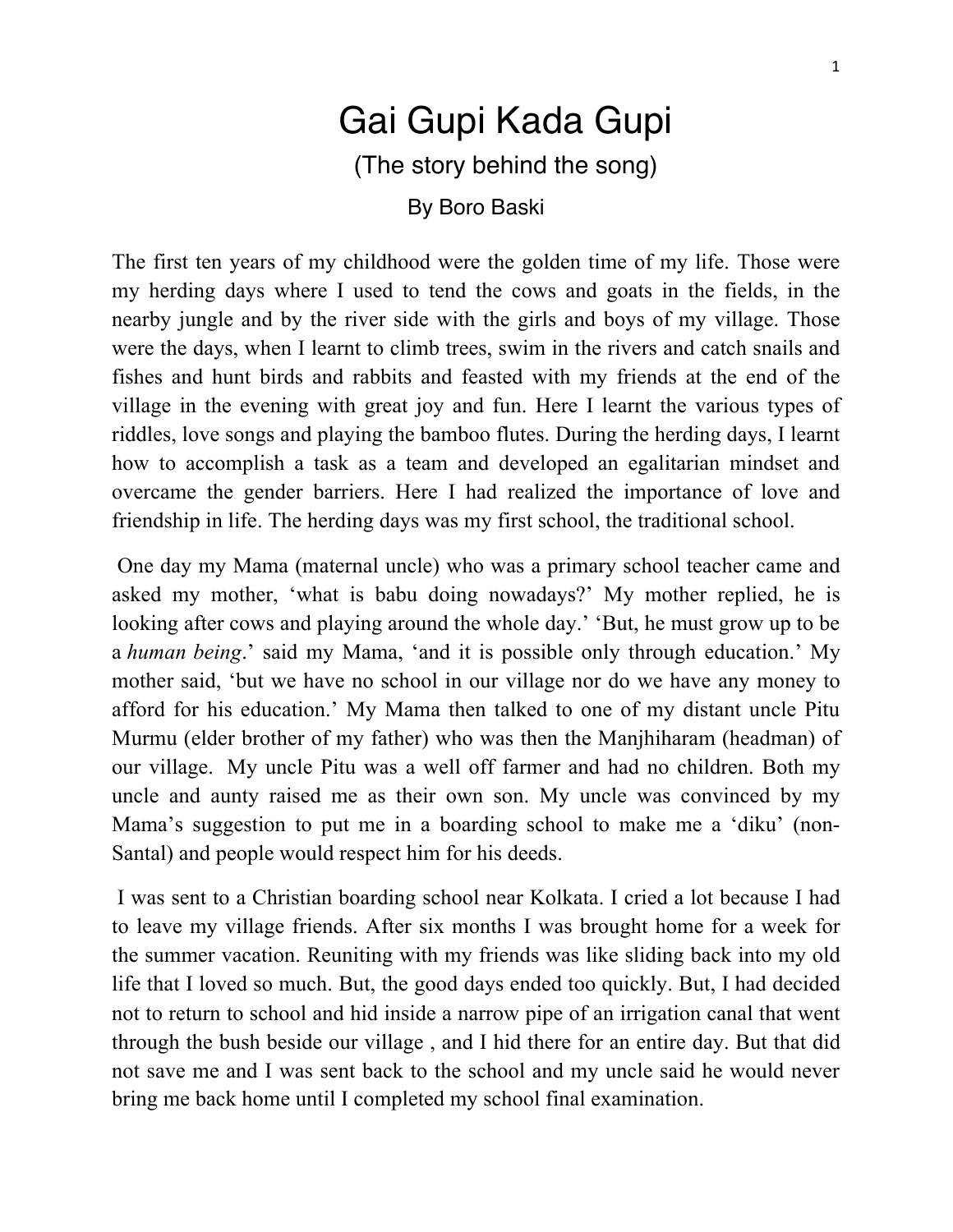## Gai Gupi Kada Gupi (The story behind the song)

By Boro Baski

The first ten years of my childhood were the golden time of my life. Those were my herding days where I used to tend the cows and goats in the fields, in the nearby jungle and by the river side with the girls and boys of my village. Those were the days, when I learnt to climb trees, swim in the rivers and catch snails and fishes and hunt birds and rabbits and feasted with my friends at the end of the village in the evening with great joy and fun. Here I learnt the various types of riddles, love songs and playing the bamboo flutes. During the herding days, I learnt how to accomplish a task as a team and developed an egalitarian mindset and overcame the gender barriers. Here I had realized the importance of love and friendship in life. The herding days was my first school, the traditional school.

One day my Mama (maternal uncle) who was a primary school teacher came and asked my mother, 'what is babu doing nowadays?' My mother replied, he is looking after cows and playing around the whole day.' 'But, he must grow up to be a *human being*.' said my Mama, 'and it is possible only through education.' My mother said, 'but we have no school in our village nor do we have any money to afford for his education.' My Mama then talked to one of my distant uncle Pitu Murmu (elder brother of my father) who was then the Manjhiharam (headman) of our village. My uncle Pitu was a well off farmer and had no children. Both my uncle and aunty raised me as their own son. My uncle was convinced by my Mama's suggestion to put me in a boarding school to make me a 'diku' (non-Santal) and people would respect him for his deeds.

I was sent to a Christian boarding school near Kolkata. I cried a lot because I had to leave my village friends. After six months I was brought home for a week for the summer vacation. Reuniting with my friends was like sliding back into my old life that I loved so much. But, the good days ended too quickly. But, I had decided not to return to school and hid inside a narrow pipe of an irrigation canal that went through the bush beside our village , and I hid there for an entire day. But that did not save me and I was sent back to the school and my uncle said he would never bring me back home until I completed my school final examination.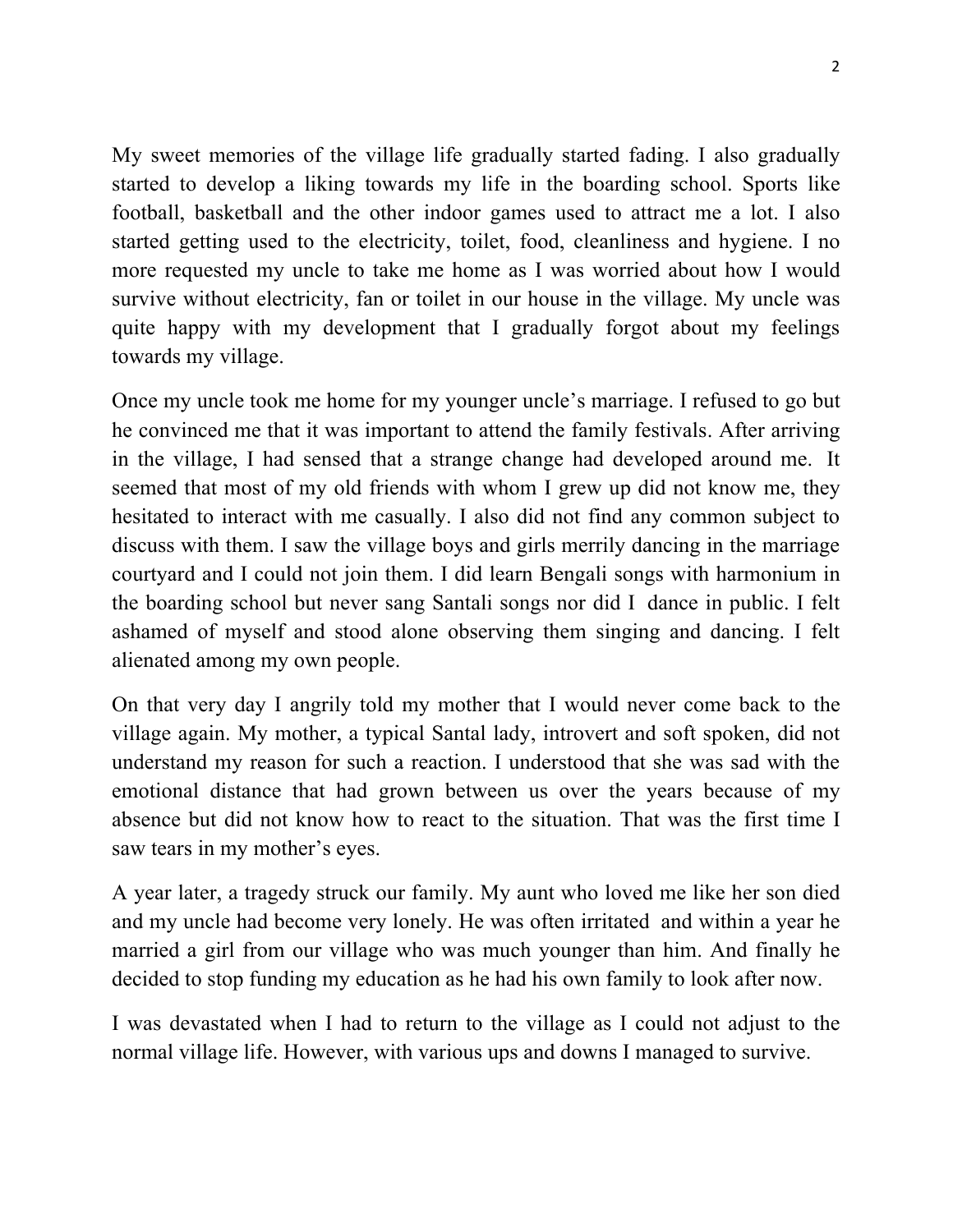My sweet memories of the village life gradually started fading. I also gradually started to develop a liking towards my life in the boarding school. Sports like football, basketball and the other indoor games used to attract me a lot. I also started getting used to the electricity, toilet, food, cleanliness and hygiene. I no more requested my uncle to take me home as I was worried about how I would survive without electricity, fan or toilet in our house in the village. My uncle was quite happy with my development that I gradually forgot about my feelings towards my village.

Once my uncle took me home for my younger uncle's marriage. I refused to go but he convinced me that it was important to attend the family festivals. After arriving in the village, I had sensed that a strange change had developed around me. It seemed that most of my old friends with whom I grew up did not know me, they hesitated to interact with me casually. I also did not find any common subject to discuss with them. I saw the village boys and girls merrily dancing in the marriage courtyard and I could not join them. I did learn Bengali songs with harmonium in the boarding school but never sang Santali songs nor did I dance in public. I felt ashamed of myself and stood alone observing them singing and dancing. I felt alienated among my own people.

On that very day I angrily told my mother that I would never come back to the village again. My mother, a typical Santal lady, introvert and soft spoken, did not understand my reason for such a reaction. I understood that she was sad with the emotional distance that had grown between us over the years because of my absence but did not know how to react to the situation. That was the first time I saw tears in my mother's eyes.

A year later, a tragedy struck our family. My aunt who loved me like her son died and my uncle had become very lonely. He was often irritated and within a year he married a girl from our village who was much younger than him. And finally he decided to stop funding my education as he had his own family to look after now.

I was devastated when I had to return to the village as I could not adjust to the normal village life. However, with various ups and downs I managed to survive.